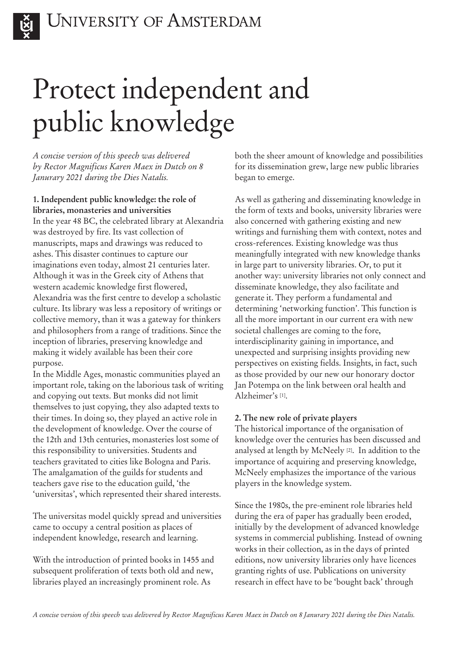

# Protect independent and public knowledge

*A concise version of this speech was delivered by Rector Magnificus Karen Maex in Dutch on 8 Janurary 2021 during the Dies Natalis.* 

## **1. Independent public knowledge: the role of libraries, monasteries and universities**

In the year 48 BC, the celebrated library at Alexandria was destroyed by fire. Its vast collection of manuscripts, maps and drawings was reduced to ashes. This disaster continues to capture our imaginations even today, almost 21 centuries later. Although it was in the Greek city of Athens that western academic knowledge first flowered, Alexandria was the first centre to develop a scholastic culture. Its library was less a repository of writings or collective memory, than it was a gateway for thinkers and philosophers from a range of traditions. Since the inception of libraries, preserving knowledge and making it widely available has been their core purpose.

In the Middle Ages, monastic communities played an important role, taking on the laborious task of writing and copying out texts. But monks did not limit themselves to just copying, they also adapted texts to their times. In doing so, they played an active role in the development of knowledge. Over the course of the 12th and 13th centuries, monasteries lost some of this responsibility to universities. Students and teachers gravitated to cities like Bologna and Paris. The amalgamation of the guilds for students and teachers gave rise to the education guild, 'the 'universitas', which represented their shared interests.

The universitas model quickly spread and universities came to occupy a central position as places of independent knowledge, research and learning.

With the introduction of printed books in 1455 and subsequent proliferation of texts both old and new, libraries played an increasingly prominent role. As

both the sheer amount of knowledge and possibilities for its dissemination grew, large new public libraries began to emerge.

As well as gathering and disseminating knowledge in the form of texts and books, university libraries were also concerned with gathering existing and new writings and furnishing them with context, notes and cross-references. Existing knowledge was thus meaningfully integrated with new knowledge thanks in large part to university libraries. Or, to put it another way: university libraries not only connect and disseminate knowledge, they also facilitate and generate it. They perform a fundamental and determining 'networking function'. This function is all the more important in our current era with new societal challenges are coming to the fore, interdisciplinarity gaining in importance, and unexpected and surprising insights providing new perspectives on existing fields. Insights, in fact, such as those provided by our new our honorary doctor Jan Potempa on the link between oral health and Alzheimer's [1].

## **2. The new role of private players**

The historical importance of the organisation of knowledge over the centuries has been discussed and analysed at length by McNeely [2]. In addition to the importance of acquiring and preserving knowledge, McNeely emphasizes the importance of the various players in the knowledge system.

Since the 1980s, the pre-eminent role libraries held during the era of paper has gradually been eroded, initially by the development of advanced knowledge systems in commercial publishing. Instead of owning works in their collection, as in the days of printed editions, now university libraries only have licences granting rights of use. Publications on university research in effect have to be 'bought back' through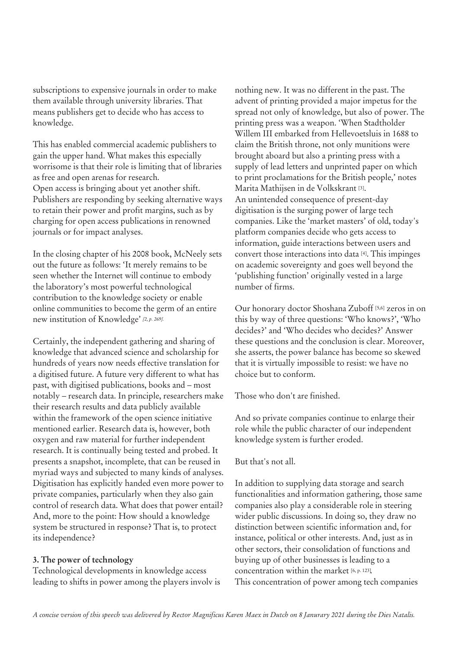subscriptions to expensive journals in order to make them available through university libraries. That means publishers get to decide who has access to knowledge.

This has enabled commercial academic publishers to gain the upper hand. What makes this especially worrisome is that their role is limiting that of libraries as free and open arenas for research. Open access is bringing about yet another shift. Publishers are responding by seeking alternative ways to retain their power and profit margins, such as by charging for open access publications in renowned journals or for impact analyses.

In the closing chapter of his 2008 book, McNeely sets out the future as follows: 'It merely remains to be seen whether the Internet will continue to embody the laboratory's most powerful technological contribution to the knowledge society or enable online communities to become the germ of an entire new institution of Knowledge' *[2, p. 269].* 

Certainly, the independent gathering and sharing of knowledge that advanced science and scholarship for hundreds of years now needs effective translation for a digitised future. A future very different to what has past, with digitised publications, books and – most notably – research data. In principle, researchers make their research results and data publicly available within the framework of the open science initiative mentioned earlier. Research data is, however, both oxygen and raw material for further independent research. It is continually being tested and probed. It presents a snapshot, incomplete, that can be reused in myriad ways and subjected to many kinds of analyses. Digitisation has explicitly handed even more power to private companies, particularly when they also gain control of research data. What does that power entail? And, more to the point: How should a knowledge system be structured in response? That is, to protect its independence?

#### **3. The power of technology**

Technological developments in knowledge access leading to shifts in power among the players involv is nothing new. It was no different in the past. The advent of printing provided a major impetus for the spread not only of knowledge, but also of power. The printing press was a weapon. 'When Stadtholder Willem III embarked from Hellevoetsluis in 1688 to claim the British throne, not only munitions were brought aboard but also a printing press with a supply of lead letters and unprinted paper on which to print proclamations for the British people,' notes Marita Mathijsen in de Volkskrant [3]. An unintended consequence of present-day digitisation is the surging power of large tech companies. Like the 'market masters' of old, today's platform companies decide who gets access to information, guide interactions between users and convert those interactions into data [4]. This impinges on academic sovereignty and goes well beyond the 'publishing function' originally vested in a large number of firms.

Our honorary doctor Shoshana Zuboff [5,6] zeros in on this by way of three questions: 'Who knows?', 'Who decides?' and 'Who decides who decides?' Answer these questions and the conclusion is clear. Moreover, she asserts, the power balance has become so skewed that it is virtually impossible to resist: we have no choice but to conform.

Those who don't are finished.

And so private companies continue to enlarge their role while the public character of our independent knowledge system is further eroded.

But that's not all.

In addition to supplying data storage and search functionalities and information gathering, those same companies also play a considerable role in steering wider public discussions. In doing so, they draw no distinction between scientific information and, for instance, political or other interests. And, just as in other sectors, their consolidation of functions and buying up of other businesses is leading to a concentration within the market [6, p. 123]. This concentration of power among tech companies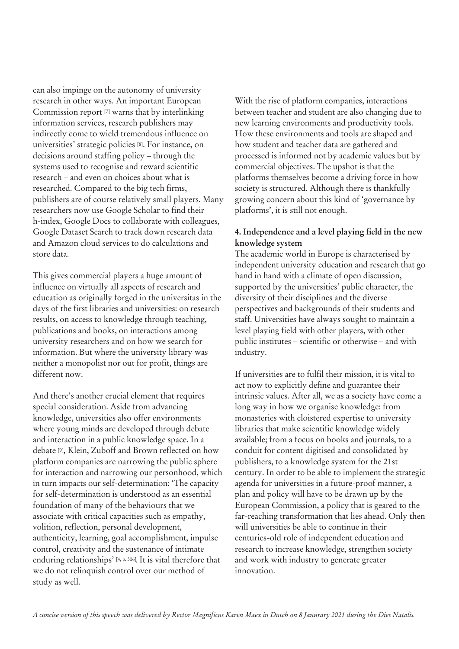can also impinge on the autonomy of university research in other ways. An important European Commission report [7] warns that by interlinking information services, research publishers may indirectly come to wield tremendous influence on universities' strategic policies [8]. For instance, on decisions around staffing policy – through the systems used to recognise and reward scientific research – and even on choices about what is researched. Compared to the big tech firms, publishers are of course relatively small players. Many researchers now use Google Scholar to find their h-index, Google Docs to collaborate with colleagues, Google Dataset Search to track down research data and Amazon cloud services to do calculations and store data.

This gives commercial players a huge amount of influence on virtually all aspects of research and education as originally forged in the universitas in the days of the first libraries and universities: on research results, on access to knowledge through teaching, publications and books, on interactions among university researchers and on how we search for information. But where the university library was neither a monopolist nor out for profit, things are different now.

And there's another crucial element that requires special consideration. Aside from advancing knowledge, universities also offer environments where young minds are developed through debate and interaction in a public knowledge space. In a debate [9], Klein, Zuboff and Brown reflected on how platform companies are narrowing the public sphere for interaction and narrowing our personhood, which in turn impacts our self-determination: 'The capacity for self-determination is understood as an essential foundation of many of the behaviours that we associate with critical capacities such as empathy, volition, reflection, personal development, authenticity, learning, goal accomplishment, impulse control, creativity and the sustenance of intimate enduring relationships' [4, p. 306]. It is vital therefore that we do not relinquish control over our method of study as well.

With the rise of platform companies, interactions between teacher and student are also changing due to new learning environments and productivity tools. How these environments and tools are shaped and how student and teacher data are gathered and processed is informed not by academic values but by commercial objectives. The upshot is that the platforms themselves become a driving force in how society is structured. Although there is thankfully growing concern about this kind of 'governance by platforms', it is still not enough.

## **4. Independence and a level playing field in the new knowledge system**

The academic world in Europe is characterised by independent university education and research that go hand in hand with a climate of open discussion, supported by the universities' public character, the diversity of their disciplines and the diverse perspectives and backgrounds of their students and staff. Universities have always sought to maintain a level playing field with other players, with other public institutes – scientific or otherwise – and with industry.

If universities are to fulfil their mission, it is vital to act now to explicitly define and guarantee their intrinsic values. After all, we as a society have come a long way in how we organise knowledge: from monasteries with cloistered expertise to university libraries that make scientific knowledge widely available; from a focus on books and journals, to a conduit for content digitised and consolidated by publishers, to a knowledge system for the 21st century. In order to be able to implement the strategic agenda for universities in a future-proof manner, a plan and policy will have to be drawn up by the European Commission, a policy that is geared to the far-reaching transformation that lies ahead. Only then will universities be able to continue in their centuries-old role of independent education and research to increase knowledge, strengthen society and work with industry to generate greater innovation.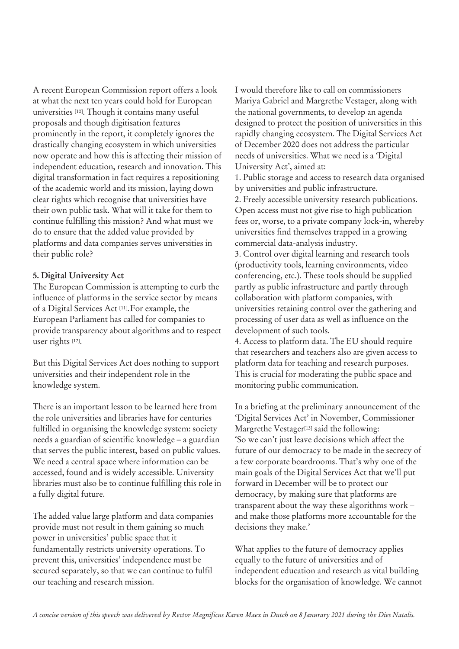A recent European Commission report offers a look at what the next ten years could hold for European universities [10]. Though it contains many useful proposals and though digitisation features prominently in the report, it completely ignores the drastically changing ecosystem in which universities now operate and how this is affecting their mission of independent education, research and innovation. This digital transformation in fact requires a repositioning of the academic world and its mission, laying down clear rights which recognise that universities have their own public task. What will it take for them to continue fulfilling this mission? And what must we do to ensure that the added value provided by platforms and data companies serves universities in their public role?

## **5. Digital University Act**

The European Commission is attempting to curb the influence of platforms in the service sector by means of a Digital Services Act [11].For example, the European Parliament has called for companies to provide transparency about algorithms and to respect user rights [12].

But this Digital Services Act does nothing to support universities and their independent role in the knowledge system.

There is an important lesson to be learned here from the role universities and libraries have for centuries fulfilled in organising the knowledge system: society needs a guardian of scientific knowledge – a guardian that serves the public interest, based on public values. We need a central space where information can be accessed, found and is widely accessible. University libraries must also be to continue fulfilling this role in a fully digital future.

The added value large platform and data companies provide must not result in them gaining so much power in universities' public space that it fundamentally restricts university operations. To prevent this, universities' independence must be secured separately, so that we can continue to fulfil our teaching and research mission.

I would therefore like to call on commissioners Mariya Gabriel and Margrethe Vestager, along with the national governments, to develop an agenda designed to protect the position of universities in this rapidly changing ecosystem. The Digital Services Act of December 2020 does not address the particular needs of universities. What we need is a 'Digital University Act', aimed at:

1. Public storage and access to research data organised by universities and public infrastructure.

2. Freely accessible university research publications. Open access must not give rise to high publication fees or, worse, to a private company lock-in, whereby universities find themselves trapped in a growing commercial data-analysis industry.

3. Control over digital learning and research tools (productivity tools, learning environments, video conferencing, etc.). These tools should be supplied partly as public infrastructure and partly through collaboration with platform companies, with universities retaining control over the gathering and processing of user data as well as influence on the development of such tools.

4. Access to platform data. The EU should require that researchers and teachers also are given access to platform data for teaching and research purposes. This is crucial for moderating the public space and monitoring public communication.

In a briefing at the preliminary announcement of the 'Digital Services Act' in November, Commissioner Margrethe Vestager<sup>[13]</sup> said the following: 'So we can't just leave decisions which affect the future of our democracy to be made in the secrecy of a few corporate boardrooms. That's why one of the main goals of the Digital Services Act that we'll put forward in December will be to protect our democracy, by making sure that platforms are transparent about the way these algorithms work – and make those platforms more accountable for the decisions they make.'

What applies to the future of democracy applies equally to the future of universities and of independent education and research as vital building blocks for the organisation of knowledge. We cannot